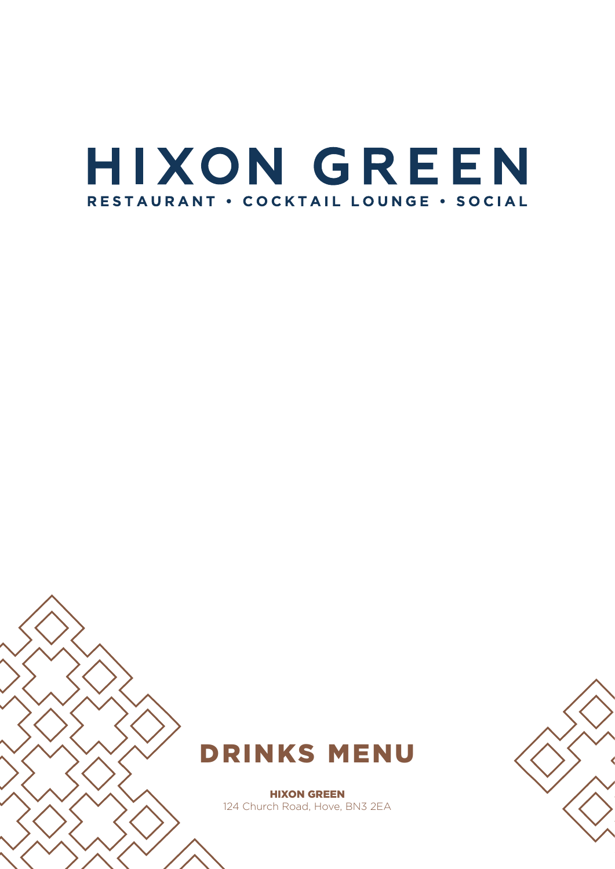# HIXON GREEN RESTAURANT . COCKTAIL LOUNGE . SOCIAL



**HIXON GREEN** 124 Church Road, Hove, BN3 2EA

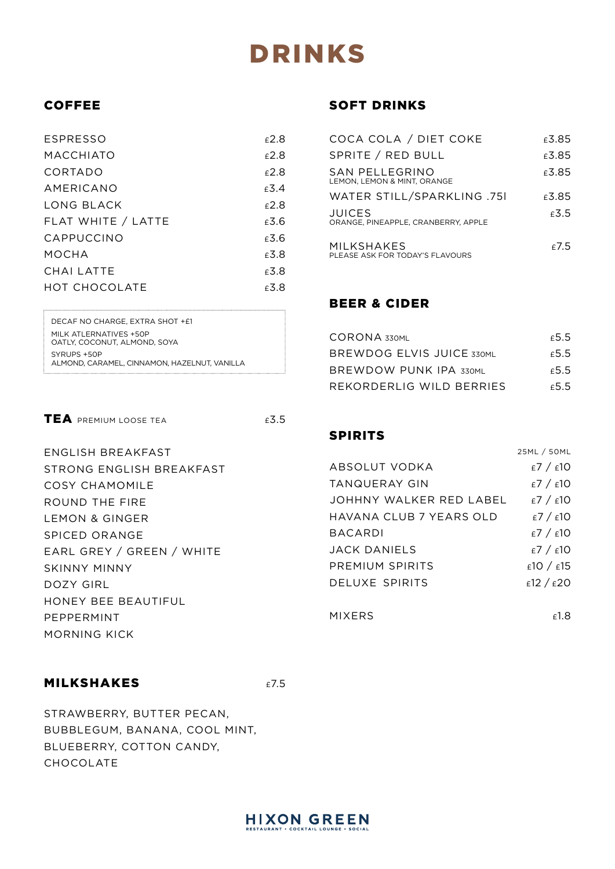# DRINKS

# COFFEE

| ESPRESSO             | $f$ 2.8 |
|----------------------|---------|
| MACCHIATO            | £2.8    |
| CORTADO              | $f$ 2.8 |
| AMERICANO            | £3.4    |
| LONG BLACK           | $f$ 2.8 |
| FLAT WHITE / LATTE   | f3.6    |
| CAPPUCCINO           | £3.6    |
| MOCHA                | £3.8    |
| CHAI LATTE           | £3.8    |
| <b>HOT CHOCOLATE</b> | £3.8    |
|                      |         |

DECAF NO CHARGE, EXTRA SHOT +£1 MILK ATLERNATIVES +50P OATLY, COCONUT, ALMOND, SOYA SYRUPS +50P ALMOND, CARAMEL, CINNAMON, HAZELNUT, VANILLA

TEA PREMIUM LOOSE TEA **ES.5** 

ENGLISH BREAKFAST STRONG ENGLISH BREAKFAST COSY CHAMOMILE ROUND THE FIRE LEMON & GINGER SPICED ORANGE EARL GREY / GREEN / WHITE SKINNY MINNY DOZY GIRL HONEY BEE BEAUTIFUL PEPPERMINT MORNING KICK

## MILKSHAKES E7.5

STRAWBERRY, BUTTER PECAN, BUBBLEGUM, BANANA, COOL MINT, BLUEBERRY, COTTON CANDY, CHOCOLATE

# SOFT DRINKS

| COCA COLA / DIET COKE                                | £3.85   |
|------------------------------------------------------|---------|
| SPRITE / RED BULL                                    | £3.85   |
| SAN PELLEGRINO<br>LEMON, LEMON & MINT, ORANGE        | £3.85   |
| WATER STILL/SPARKLING .75I                           | £3.85   |
| <b>JUICES</b><br>ORANGE, PINEAPPLE, CRANBERRY, APPLE | f3.5    |
| MILKSHAKES<br>PLEASE ASK FOR TODAY'S FLAVOURS        | $f$ 7.5 |

# BEER & CIDER

| CORONA 330ML                  | £5.5 |
|-------------------------------|------|
| BREWDOG ELVIS JUICE 330ML     | £5.5 |
| <b>BREWDOW PUNK IPA 330ML</b> | £5.5 |
| REKORDERLIG WILD BERRIES      | £5.5 |

25ML / 50ML

# SPIRITS

|                         | <b>LUTTL</b> / JUITL |
|-------------------------|----------------------|
| ABSOLUT VODKA           | E7 / E10             |
| TANQUERAY GIN           | E7 / E10             |
| JOHHNY WALKER RED LABEL | $E$ 7 / $E$ 10       |
| HAVANA CLUB 7 YEARS OLD | E7 / E10             |
| <b>BACARDI</b>          | E7 / E10             |
| JACK DANIFI S           | $E$ 7 / $E$ 10       |
| PREMIUM SPIRITS         | £10 / £15            |
| DELUXE SPIRITS          | £12 / £20            |
|                         |                      |
| <b>MIXERS</b>           | £1.8                 |

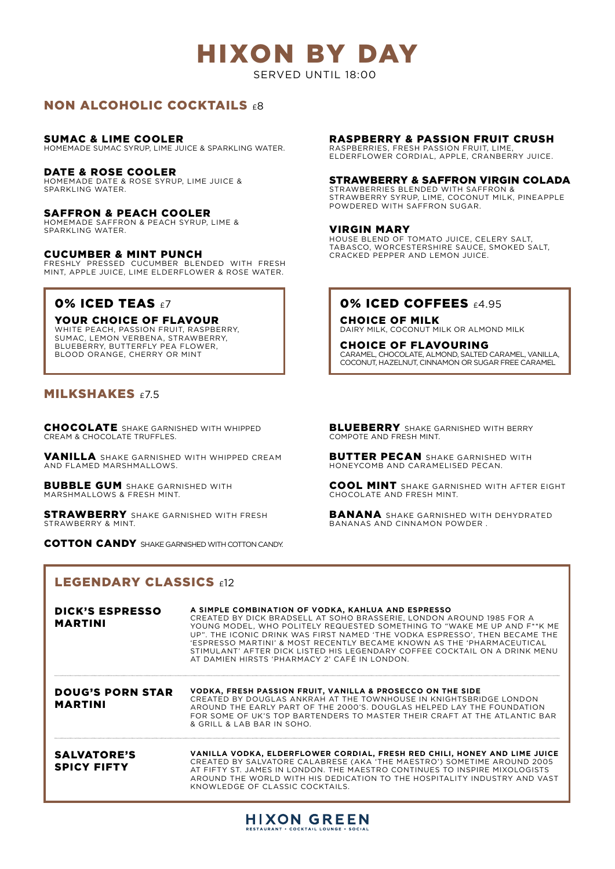# HIXON BY DAY

SERVED UNTIL 18:00

## NON ALCOHOLIC COCKTAILS  $£8$

#### SUMAC & LIME COOLER

HOMEMADE SUMAC SYRUP, LIME JUICE & SPARKLING WATER.

#### DATE & ROSE COOLER

HOMEMADE DATE & ROSE SYRUP, LIME JUICE & SPARKLING WATER.

#### SAFFRON & PEACH COOLER

HOMEMADE SAFFRON & PEACH SYRUP, LIME & SPARKLING WATER.

#### CUCUMBER & MINT PUNCH

FRESHLY PRESSED CUCUMBER BLENDED WITH FRESH MINT, APPLE JUICE, LIME ELDERFLOWER & ROSE WATER.

## **0% ICED TEAS**  $\epsilon$ **7**

#### YOUR CHOICE OF FLAVOUR

WHITE PEACH, PASSION FRUIT, RASPBERRY, SUMAC, LEMON VERBENA, STRAWBERRY, BLUEBERRY, BUTTERFLY PEA FLOWER BLOOD ORANGE, CHERRY OR MINT

## MILKSHAKES £7.5

CHOCOLATE SHAKE GARNISHED WITH WHIPPED CREAM & CHOCOLATE TRUFFLES.

VANILLA SHAKE GARNISHED WITH WHIPPED CREAM AND FLAMED MARSHMALLOWS.

**BUBBLE GUM** SHAKE GARNISHED WITH MARSHMALLOWS & FRESH MINT.

**STRAWBERRY** SHAKE GARNISHED WITH FRESH STRAWBERRY & MINT.

COTTON CANDY SHAKE GARNISHED WITH COTTON CANDY.

# LEGENDARY CLASSICS  $612$

#### DICK'S ESPRESSO MARTINI DOUG'S PORN STAR MARTINI SALVATORE'S SPICY FIFTY **A SIMPLE COMBINATION OF VODKA, KAHLUA AND ESPRESSO** CREATED BY DICK BRADSELL AT SOHO BRASSERIE, LONDON AROUND 1985 FOR A YOUNG MODEL, WHO POLITELY REQUESTED SOMETHING TO "WAKE ME UP AND F\*\*K ME UP". THE ICONIC DRINK WAS FIRST NAMED 'THE VODKA ESPRESSO', THEN BECAME THE 'ESPRESSO MARTINI' & MOST RECENTLY BECAME KNOWN AS THE 'PHARMACEUTICAL STIMULANT' AFTER DICK LISTED HIS LEGENDARY COFFEE COCKTAIL ON A DRINK MENU AT DAMIEN HIRSTS 'PHARMACY 2' CAFÉ IN LONDON. **VODKA, FRESH PASSION FRUIT, VANILLA & PROSECCO ON THE SIDE** CREATED BY DOUGLAS ANKRAH AT THE TOWNHOUSE IN KNIGHTSBRIDGE LONDON AROUND THE EARLY PART OF THE 2000'S. DOUGLAS HELPED LAY THE FOUNDATION FOR SOME OF UK'S TOP BARTENDERS TO MASTER THEIR CRAFT AT THE ATLANTIC BAR & GRILL & LAB BAR IN SOHO. **VANILLA VODKA, ELDERFLOWER CORDIAL, FRESH RED CHILI, HONEY AND LIME JUICE** CREATED BY SALVATORE CALABRESE (AKA 'THE MAESTRO') SOMETIME AROUND 2005 AT FIFTY ST. JAMES IN LONDON. THE MAESTRO CONTINUES TO INSPIRE MIXOLOGISTS AROUND THE WORLD WITH HIS DEDICATION TO THE HOSPITALITY INDUSTRY AND VAST KNOWLEDGE OF CLASSIC COCKTAILS.

## RASPBERRY & PASSION FRUIT CRUSH

RASPBERRIES, FRESH PASSION FRUIT, LIME, ELDERFLOWER CORDIAL, APPLE, CRANBERRY JUICE.

#### STRAWBERRY & SAFFRON VIRGIN COLADA

STRAWBERRIES BLENDED WITH SAFFRON & STRAWBERRY SYRUP, LIME, COCONUT MILK, PINEAPPLE POWDERED WITH SAFFRON SUGAR.

#### VIRGIN MARY

HOUSE BLEND OF TOMATO JUICE, CELERY SALT, TABASCO, WORCESTERSHIRE SAUCE, SMOKED SALT, CRACKED PEPPER AND LEMON JUICE.

## **0% ICED COFFEES £4.95**

CHOICE OF MILK DAIRY MILK, COCONUT MILK OR ALMOND MILK

CHOICE OF FLAVOURING CARAMEL, CHOCOLATE, ALMOND, SALTED CARAMEL, VANILLA, COCONUT, HAZELNUT, CINNAMON OR SUGAR FREE CARAMEL

**BLUEBERRY** SHAKE GARNISHED WITH BERRY COMPOTE AND FRESH MINT.

**BUTTER PECAN** SHAKE GARNISHED WITH HONEYCOMB AND CARAMELISED PECAN.

COOL MINT SHAKE GARNISHED WITH AFTER EIGHT CHOCOLATE AND FRESH MINT.

BANANA SHAKE GARNISHED WITH DEHYDRATED BANANAS AND CINNAMON POWDER .

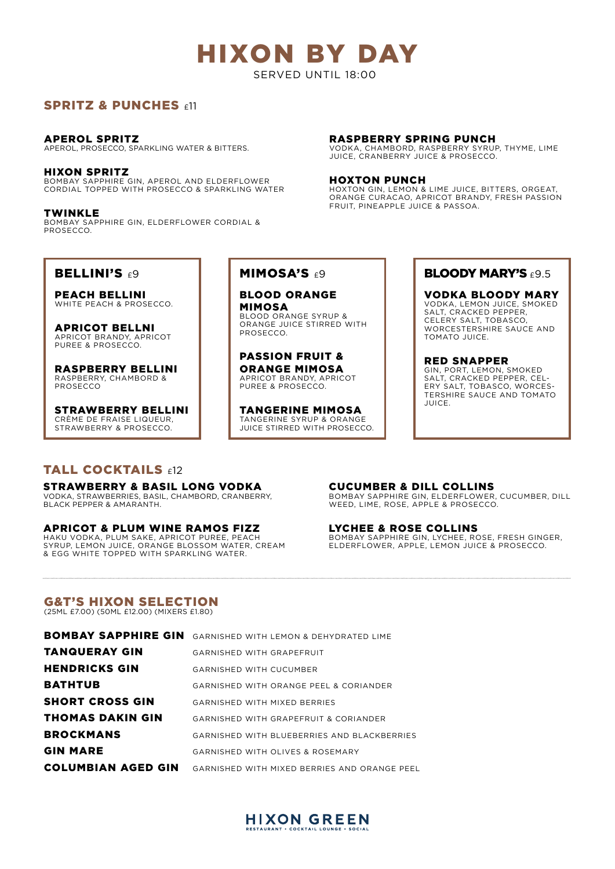SERVED UNTIL 18:00

## SPRITZ & PUNCHES  $\epsilon$ 11

## APEROL SPRITZ

APEROL, PROSECCO, SPARKLING WATER & BITTERS.

### HIXON SPRITZ

BOMBAY SAPPHIRE GIN, APEROL AND ELDERFLOWER CORDIAL TOPPED WITH PROSECCO & SPARKLING WATER

TWINKLE BOMBAY SAPPHIRE GIN, ELDERFLOWER CORDIAL & PROSECCO.

### RASPBERRY SPRING PUNCH

VODKA, CHAMBORD, RASPBERRY SYRUP, THYME, LIME JUICE, CRANBERRY JUICE & PROSECCO.

#### HOXTON PUNCH

HOXTON GIN, LEMON & LIME JUICE, BITTERS, ORGEAT, ORANGE CURACAO, APRICOT BRANDY, FRESH PASSION FRUIT, PINEAPPLE JUICE & PASSOA.

## **BELLINI'S**  $69$

PEACH BELLINI WHITE PEACH & PROSECCO.

APRICOT BELLNI APRICOT BRANDY, APRICOT PUREE & PROSECCO.

RASPBERRY BELLINI RASPBERRY, CHAMBORD & PROSECCO

STRAWBERRY BELLINI CRÈME DE FRAISE LIQUEUR, STRAWBERRY & PROSECCO.

# TALL COCKTAILS  $f12$

STRAWBERRY & BASIL LONG VODKA VODKA, STRAWBERRIES, BASIL, CHAMBORD, CRANBERRY, BLACK PEPPER & AMARANTH.

## APRICOT & PLUM WINE RAMOS FIZZ

HAKU VODKA, PLUM SAKE, APRICOT PUREE, PEACH SYRUP, LEMON JUICE, ORANGE BLOSSOM WATER, CREAM & EGG WHITE TOPPED WITH SPARKLING WATER.

## MIMOSA'S  $69$

BLOOD ORANGE MIMOSA BLOOD ORANGE SYRUP & ORANGE JUICE STIRRED WITH PROSECCO.

PASSION FRUIT & ORANGE MIMOSA APRICOT BRANDY, APRICOT PUREE & PROSECCO.

TANGERINE MIMOSA TANGERINE SYRUP & ORANGE JUICE STIRRED WITH PROSECCO.

## BLOODY MARY'S £9.5

VODKA BLOODY MARY VODKA, LEMON JUICE, SMOKED SALT, CRACKED PEPPER, CELERY SALT, TOBASCO, WORCESTERSHIRE SAUCE AND TOMATO JUICE.

RED SNAPPER GIN, PORT, LEMON, SMOKED SALT, CRACKED PEPPER, CEL-ERY SALT, TOBASCO, WORCES-TERSHIRE SAUCE AND TOMATO JUICE.

## CUCUMBER & DILL COLLINS

BOMBAY SAPPHIRE GIN, ELDERFLOWER, CUCUMBER, DILL WEED, LIME, ROSE, APPLE & PROSECCO.

## LYCHEE & ROSE COLLINS

BOMBAY SAPPHIRE GIN, LYCHEE, ROSE, FRESH GINGER, ELDERFLOWER, APPLE, LEMON JUICE & PROSECCO.

## G&T'S HIXON SELECTION

(25ML £7.00) (50ML £12.00) (MIXERS £1.80)

| <b>BOMBAY SAPPHIRE GIN</b> | GARNISHED WITH LEMON & DEHYDRATED LIME           |
|----------------------------|--------------------------------------------------|
| <b>TANQUERAY GIN</b>       | <b>GARNISHED WITH GRAPEFRUIT</b>                 |
| <b>HENDRICKS GIN</b>       | <b>GARNISHED WITH CUCUMBER</b>                   |
| <b>BATHTUB</b>             | GARNISHED WITH ORANGE PEEL & CORIANDER           |
| <b>SHORT CROSS GIN</b>     | <b>GARNISHED WITH MIXED BERRIES</b>              |
| <b>THOMAS DAKIN GIN</b>    | <b>GARNISHED WITH GRAPEFRUIT &amp; CORIANDER</b> |
| <b>BROCKMANS</b>           | GARNISHED WITH BLUEBERRIES AND BLACKBERRIES      |
| <b>GIN MARE</b>            | <b>GARNISHED WITH OLIVES &amp; ROSEMARY</b>      |
| <b>COLUMBIAN AGED GIN</b>  | GARNISHED WITH MIXED BERRIES AND ORANGE PEEL     |
|                            |                                                  |

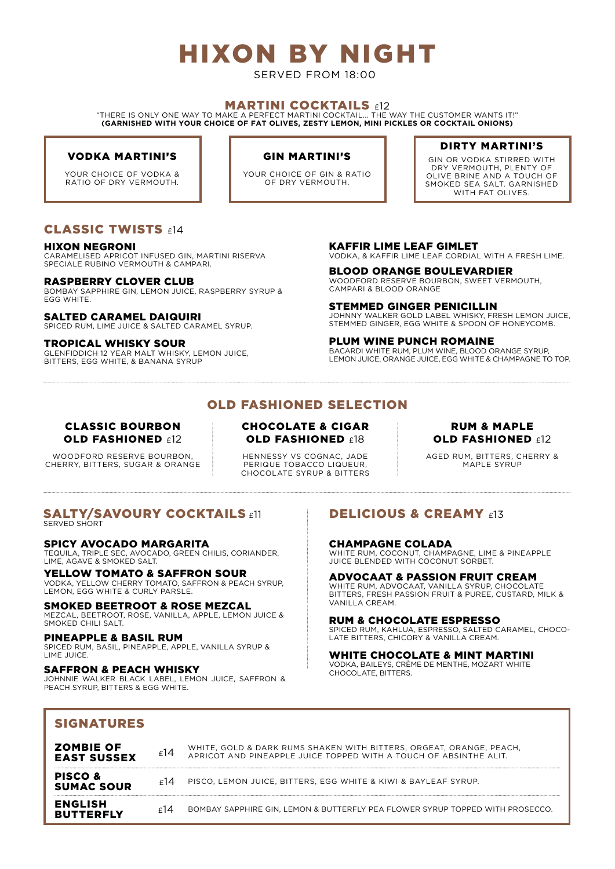# HIXON BY NIGHT

SERVED FROM 18:00

## **MARTINI COCKTAILS £12**

"THERE IS ONLY ONE WAY TO MAKE A PERFECT MARTINI COCKTAIL... THE WAY THE CUSTOMER WANTS IT!" **(GARNISHED WITH YOUR CHOICE OF FAT OLIVES, ZESTY LEMON, MINI PICKLES OR COCKTAIL ONIONS)** 

## VODKA MARTINI'S

YOUR CHOICE OF VODKA & RATIO OF DRY VERMOUTH.

### GIN MARTINI'S

YOUR CHOICE OF GIN & RATIO OF DRY VERMOUTH.

## DIRTY MARTINI'S

GIN OR VODKA STIRRED WITH DRY VERMOUTH, PLENTY OF OLIVE BRINE AND A TOUCH OF SMOKED SEA SALT. GARNISHED WITH FAT OLIVES.

## CLASSIC TWISTS  $f14$

#### HIXON NEGRONI

CARAMELISED APRICOT INFUSED GIN, MARTINI RISERVA SPECIALE RUBINO VERMOUTH & CAMPARI.

#### RASPBERRY CLOVER CLUB

BOMBAY SAPPHIRE GIN, LEMON JUICE, RASPBERRY SYRUP & EGG WHITE.

#### SALTED CARAMEL DAIQUIRI

SPICED RUM, LIME, JUICE & SALTED CARAMEL SYRUP.

#### TROPICAL WHISKY SOUR

GLENFIDDICH 12 YEAR MALT WHISKY, LEMON JUICE, BITTERS, EGG WHITE, & BANANA SYRUP

#### KAFFIR LIME LEAF GIMLET VODKA, & KAFFIR LIME LEAF CORDIAL WITH A FRESH LIME.

BLOOD ORANGE BOULEVARDIER WOODFORD RESERVE BOURBON, SWEET VERMOUTH, CAMPARI & BLOOD ORANGE

STEMMED GINGER PENICILLIN JOHNNY WALKER GOLD LABEL WHISKY, FRESH LEMON JUICE, STEMMED GINGER, EGG WHITE & SPOON OF HONEYCOMB.

PLUM WINE PUNCH ROMAINE BACARDI WHITE RUM, PLUM WINE, BLOOD ORANGE SYRUP, LEMON JUICE, ORANGE JUICE, EGG WHITE & CHAMPAGNE TO TOP.

# OLD FASHIONED SELECTION

## CLASSIC BOURBON **OLD FASHIONED £12**

WOODFORD RESERVE BOURBON, CHERRY, BITTERS, SUGAR & ORANGE

## CHOCOLATE & CIGAR OLD FASHIONED £18

HENNESSY VS COGNAC, JADE PERIQUE TOBACCO LIQUEUR, CHOCOLATE SYRUP & BITTERS

### RUM & MAPLE **OLD FASHIONED £12**

AGED RUM, BITTERS, CHERRY & MAPLE SYRUP

#### SALTY/SAVOURY COCKTAILS  $\epsilon$ 11 SERVED SHORT

#### SPICY AVOCADO MARGARITA

TEQUILA, TRIPLE SEC, AVOCADO, GREEN CHILIS, CORIANDER, LIME, AGAVE & SMOKED SALT.

#### YELLOW TOMATO & SAFFRON SOUR VODKA, YELLOW CHERRY TOMATO, SAFFRON & PEACH SYRUP, LEMON, EGG WHITE & CURLY PARSLE.

#### SMOKED BEETROOT & ROSE MEZCAL

MEZCAL, BEETROOT, ROSE, VANILLA, APPLE, LEMON JUICE & SMOKED CHILI SALT.

#### PINEAPPLE & BASIL RUM

SIGNATURES

SPICED RUM, BASIL, PINEAPPLE, APPLE, VANILLA SYRUP & LIME JUICE

#### SAFFRON & PEACH WHISKY

JOHNNIE WALKER BLACK LABEL, LEMON JUICE, SAFFRON & PEACH SYRUP, BITTERS & EGG WHITE.

# DELICIOUS & CREAMY £13

CHAMPAGNE COLADA WHITE RUM, COCONUT, CHAMPAGNE, LIME & PINEAPPLE JUICE BLENDED WITH COCONUT SORBET.

ADVOCAAT & PASSION FRUIT CREAM WHITE RUM, ADVOCAAT, VANILLA SYRUP, CHOCOLATE BITTERS, FRESH PASSION FRUIT & PUREE, CUSTARD, MILK & VANILLA CREAM.

RUM & CHOCOLATE ESPRESSO SPICED RUM, KAHLUA, ESPRESSO, SALTED CARAMEL, CHOCO-LATE BITTERS, CHICORY & VANILLA CREAM.

## **WHITE CHOCOLATE & MINT MARTINI**<br>VODKA, BAILEYS, CRÈME DE MENTHE, MOZART WHITE CHOCOLATE, BITTERS.

| <b>ZOMBIE OF</b><br><b>EAST SUSSEX</b>  | £14 | WHITE, GOLD & DARK RUMS SHAKEN WITH BITTERS, ORGEAT, ORANGE, PEACH,<br>APRICOT AND PINEAPPLE JUICE TOPPED WITH A TOUCH OF ABSINTHE ALIT. |
|-----------------------------------------|-----|------------------------------------------------------------------------------------------------------------------------------------------|
| <b>PISCO &amp;</b><br><b>SUMAC SOUR</b> | 14ء | PISCO, LEMON JUICE, BITTERS, EGG WHITE & KIWI & BAYLEAF SYRUP.                                                                           |
| <b>ENGLISH</b><br><b>BUTTERFLY</b>      | 14ء | BOMBAY SAPPHIRE GIN, LEMON & BUTTERFLY PEA FLOWER SYRUP TOPPED WITH PROSECCO.                                                            |